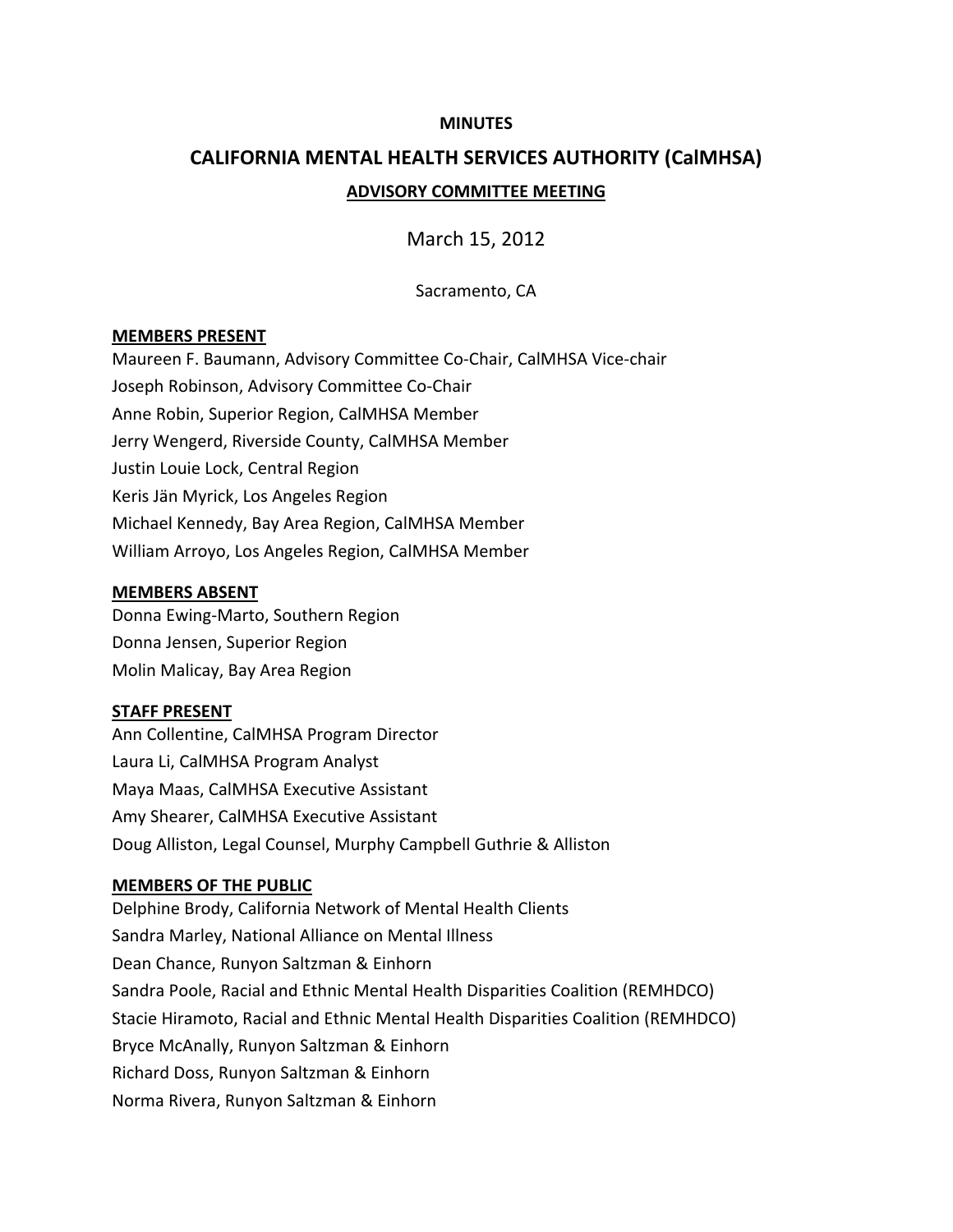#### **MINUTES**

# **CALIFORNIA MENTAL HEALTH SERVICES AUTHORITY (CalMHSA) ADVISORY COMMITTEE MEETING**

March 15, 2012

Sacramento, CA

#### **MEMBERS PRESENT**

Maureen F. Baumann, Advisory Committee Co‐Chair, CalMHSA Vice‐chair Joseph Robinson, Advisory Committee Co‐Chair Anne Robin, Superior Region, CalMHSA Member Jerry Wengerd, Riverside County, CalMHSA Member Justin Louie Lock, Central Region Keris Jän Myrick, Los Angeles Region Michael Kennedy, Bay Area Region, CalMHSA Member William Arroyo, Los Angeles Region, CalMHSA Member

#### **MEMBERS ABSENT**

Donna Ewing‐Marto, Southern Region Donna Jensen, Superior Region Molin Malicay, Bay Area Region

#### **STAFF PRESENT**

Ann Collentine, CalMHSA Program Director Laura Li, CalMHSA Program Analyst Maya Maas, CalMHSA Executive Assistant Amy Shearer, CalMHSA Executive Assistant Doug Alliston, Legal Counsel, Murphy Campbell Guthrie & Alliston

#### **MEMBERS OF THE PUBLIC**

Delphine Brody, California Network of Mental Health Clients Sandra Marley, National Alliance on Mental Illness Dean Chance, Runyon Saltzman & Einhorn Sandra Poole, Racial and Ethnic Mental Health Disparities Coalition (REMHDCO) Stacie Hiramoto, Racial and Ethnic Mental Health Disparities Coalition (REMHDCO) Bryce McAnally, Runyon Saltzman & Einhorn Richard Doss, Runyon Saltzman & Einhorn Norma Rivera, Runyon Saltzman & Einhorn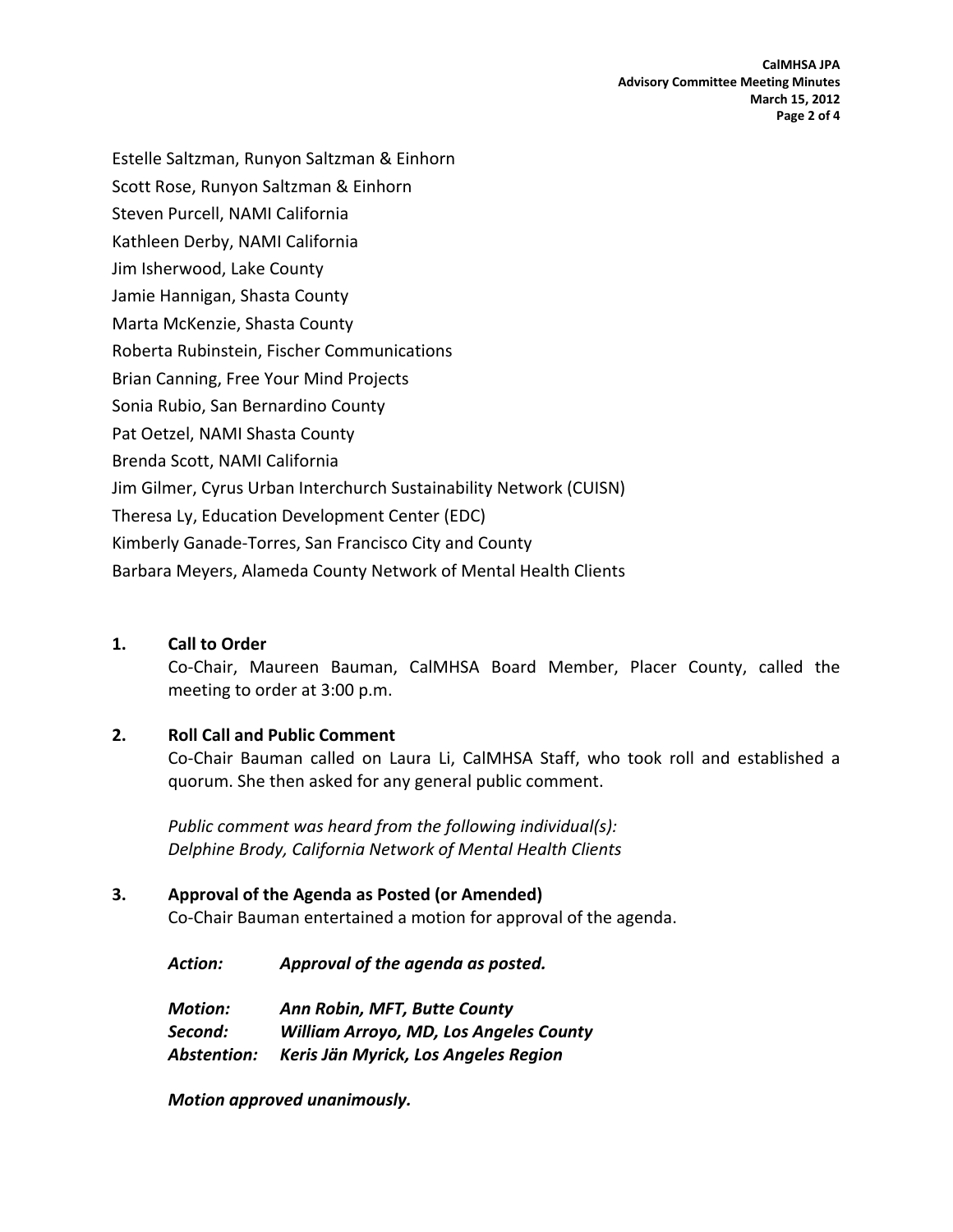**CalMHSA JPA Advisory Committee Meeting Minutes March 15, 2012 Page 2 of 4**

Estelle Saltzman, Runyon Saltzman & Einhorn Scott Rose, Runyon Saltzman & Einhorn Steven Purcell, NAMI California Kathleen Derby, NAMI California Jim Isherwood, Lake County Jamie Hannigan, Shasta County Marta McKenzie, Shasta County Roberta Rubinstein, Fischer Communications Brian Canning, Free Your Mind Projects Sonia Rubio, San Bernardino County Pat Oetzel, NAMI Shasta County Brenda Scott, NAMI California Jim Gilmer, Cyrus Urban Interchurch Sustainability Network (CUISN) Theresa Ly, Education Development Center (EDC) Kimberly Ganade‐Torres, San Francisco City and County Barbara Meyers, Alameda County Network of Mental Health Clients

#### **1. Call to Order**

Co‐Chair, Maureen Bauman, CalMHSA Board Member, Placer County, called the meeting to order at 3:00 p.m.

#### **2. Roll Call and Public Comment**

Co‐Chair Bauman called on Laura Li, CalMHSA Staff, who took roll and established a quorum. She then asked for any general public comment.

*Public comment was heard from the following individual(s): Delphine Brody, California Network of Mental Health Clients*

#### **3. Approval of the Agenda as Posted (or Amended)**

Co‐Chair Bauman entertained a motion for approval of the agenda.

*Action: Approval of the agenda as posted.*

*Motion: Ann Robin, MFT, Butte County Second: William Arroyo, MD, Los Angeles County Abstention: Keris Jän Myrick, Los Angeles Region*

*Motion approved unanimously.*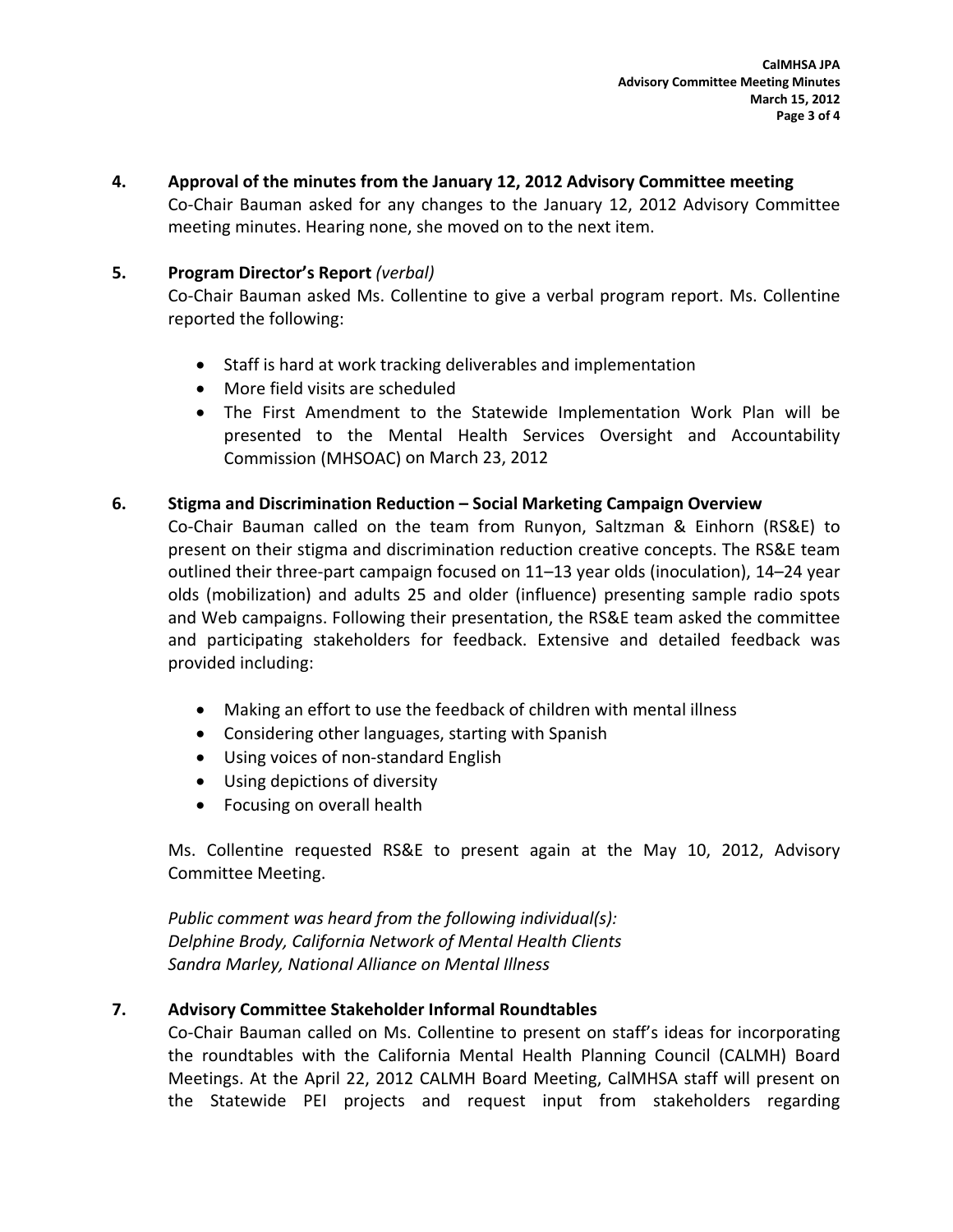**4. Approval of the minutes from the January 12, 2012 Advisory Committee meeting**

Co‐Chair Bauman asked for any changes to the January 12, 2012 Advisory Committee meeting minutes. Hearing none, she moved on to the next item.

## **5. Program Director's Report** *(verbal)*

Co‐Chair Bauman asked Ms. Collentine to give a verbal program report. Ms. Collentine reported the following:

- Staff is hard at work tracking deliverables and implementation
- More field visits are scheduled
- The First Amendment to the Statewide Implementation Work Plan will be presented to the Mental Health Services Oversight and Accountability Commission (MHSOAC) on March 23, 2012

### **6. Stigma and Discrimination Reduction – Social Marketing Campaign Overview**

Co‐Chair Bauman called on the team from Runyon, Saltzman & Einhorn (RS&E) to present on their stigma and discrimination reduction creative concepts. The RS&E team outlined their three‐part campaign focused on 11–13 year olds (inoculation), 14–24 year olds (mobilization) and adults 25 and older (influence) presenting sample radio spots and Web campaigns. Following their presentation, the RS&E team asked the committee and participating stakeholders for feedback. Extensive and detailed feedback was provided including:

- Making an effort to use the feedback of children with mental illness
- Considering other languages, starting with Spanish
- Using voices of non-standard English
- Using depictions of diversity
- Focusing on overall health

Ms. Collentine requested RS&E to present again at the May 10, 2012, Advisory Committee Meeting.

*Public comment was heard from the following individual(s): Delphine Brody, California Network of Mental Health Clients Sandra Marley, National Alliance on Mental Illness*

## **7. Advisory Committee Stakeholder Informal Roundtables**

Co‐Chair Bauman called on Ms. Collentine to present on staff's ideas for incorporating the roundtables with the California Mental Health Planning Council (CALMH) Board Meetings. At the April 22, 2012 CALMH Board Meeting, CalMHSA staff will present on the Statewide PEI projects and request input from stakeholders regarding